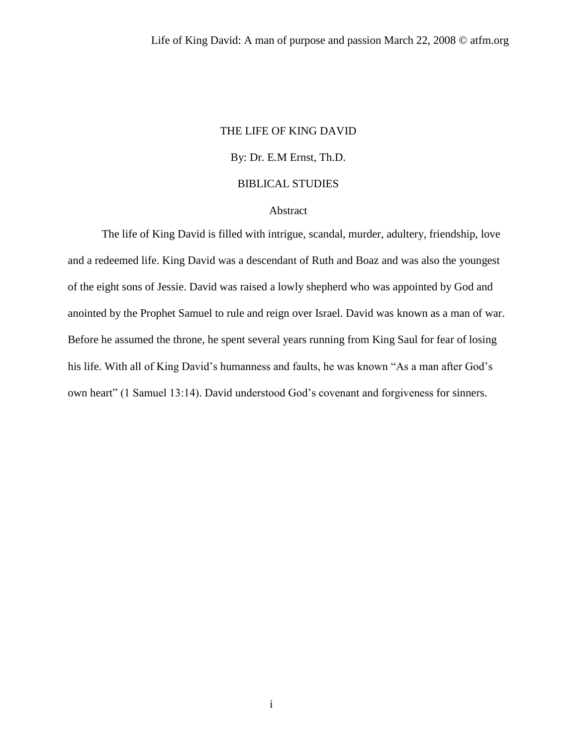#### THE LIFE OF KING DAVID

# By: Dr. E.M Ernst, Th.D.

## BIBLICAL STUDIES

#### Abstract

The life of King David is filled with intrigue, scandal, murder, adultery, friendship, love and a redeemed life. King David was a descendant of Ruth and Boaz and was also the youngest of the eight sons of Jessie. David was raised a lowly shepherd who was appointed by God and anointed by the Prophet Samuel to rule and reign over Israel. David was known as a man of war. Before he assumed the throne, he spent several years running from King Saul for fear of losing his life. With all of King David's humanness and faults, he was known "As a man after God's own heart" (1 Samuel 13:14). David understood God's covenant and forgiveness for sinners.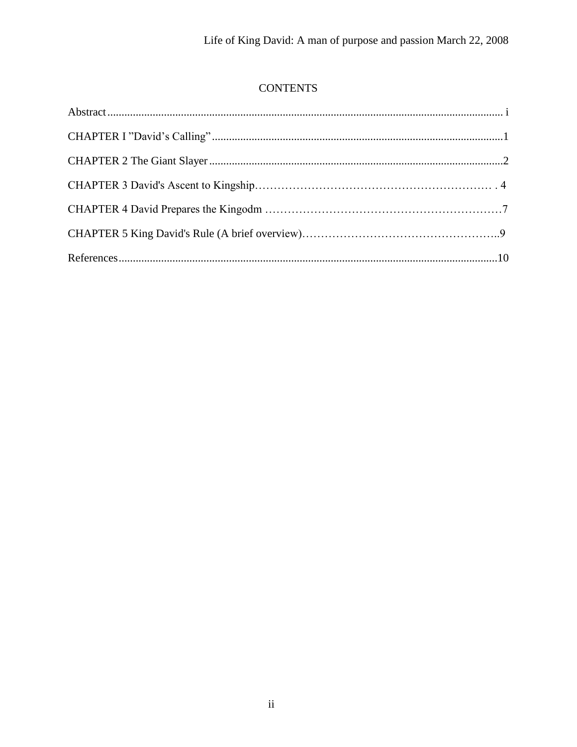# **CONTENTS**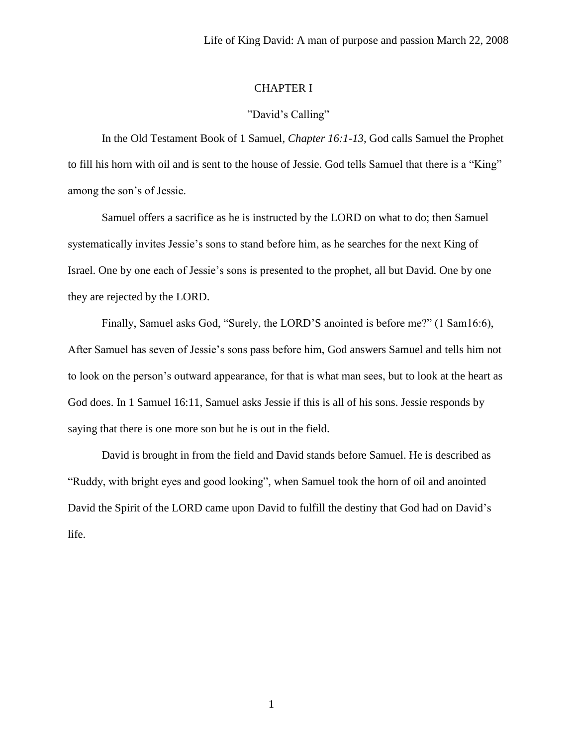## CHAPTER I

## "David's Calling"

In the Old Testament Book of 1 Samuel, *Chapter 16:1-13*, God calls Samuel the Prophet to fill his horn with oil and is sent to the house of Jessie. God tells Samuel that there is a "King" among the son's of Jessie.

Samuel offers a sacrifice as he is instructed by the LORD on what to do; then Samuel systematically invites Jessie's sons to stand before him, as he searches for the next King of Israel. One by one each of Jessie's sons is presented to the prophet, all but David. One by one they are rejected by the LORD.

Finally, Samuel asks God, "Surely, the LORD'S anointed is before me?" (1 Sam16:6), After Samuel has seven of Jessie's sons pass before him, God answers Samuel and tells him not to look on the person's outward appearance, for that is what man sees, but to look at the heart as God does. In 1 Samuel 16:11, Samuel asks Jessie if this is all of his sons. Jessie responds by saying that there is one more son but he is out in the field.

David is brought in from the field and David stands before Samuel. He is described as "Ruddy, with bright eyes and good looking", when Samuel took the horn of oil and anointed David the Spirit of the LORD came upon David to fulfill the destiny that God had on David's life.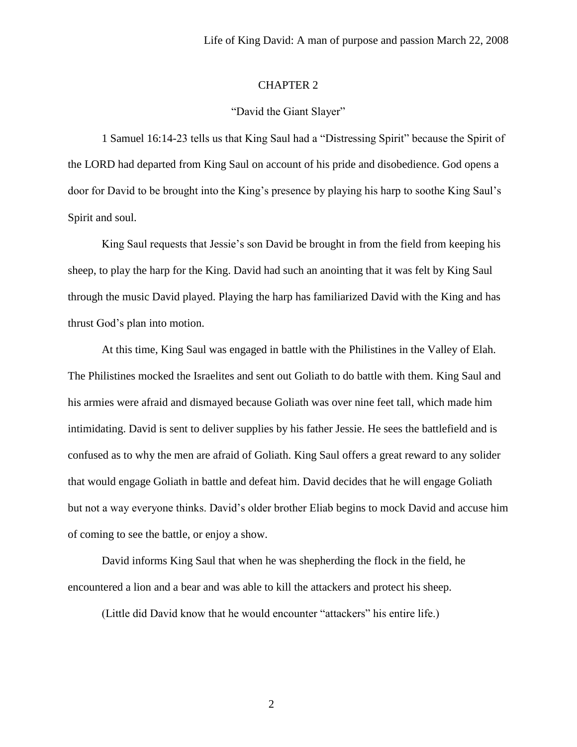## CHAPTER 2

#### "David the Giant Slayer"

1 Samuel 16:14-23 tells us that King Saul had a "Distressing Spirit" because the Spirit of the LORD had departed from King Saul on account of his pride and disobedience. God opens a door for David to be brought into the King's presence by playing his harp to soothe King Saul's Spirit and soul.

King Saul requests that Jessie's son David be brought in from the field from keeping his sheep, to play the harp for the King. David had such an anointing that it was felt by King Saul through the music David played. Playing the harp has familiarized David with the King and has thrust God's plan into motion.

At this time, King Saul was engaged in battle with the Philistines in the Valley of Elah. The Philistines mocked the Israelites and sent out Goliath to do battle with them. King Saul and his armies were afraid and dismayed because Goliath was over nine feet tall, which made him intimidating. David is sent to deliver supplies by his father Jessie. He sees the battlefield and is confused as to why the men are afraid of Goliath. King Saul offers a great reward to any solider that would engage Goliath in battle and defeat him. David decides that he will engage Goliath but not a way everyone thinks. David's older brother Eliab begins to mock David and accuse him of coming to see the battle, or enjoy a show.

David informs King Saul that when he was shepherding the flock in the field, he encountered a lion and a bear and was able to kill the attackers and protect his sheep.

(Little did David know that he would encounter "attackers" his entire life.)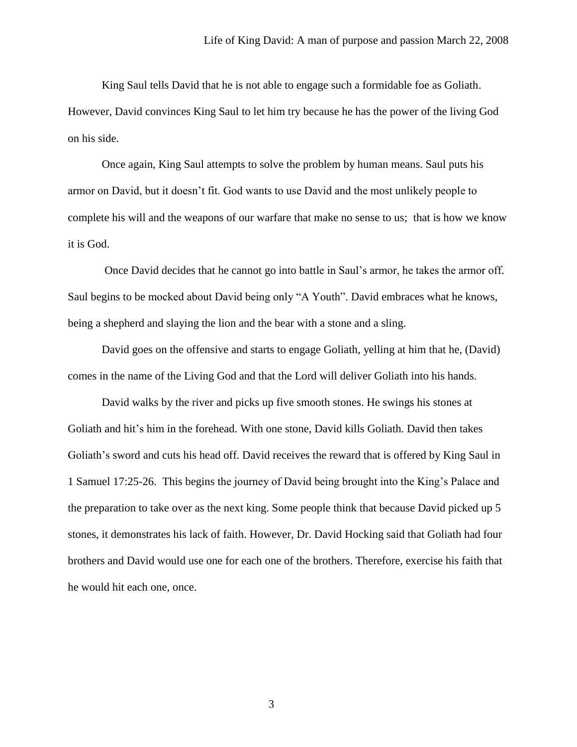King Saul tells David that he is not able to engage such a formidable foe as Goliath. However, David convinces King Saul to let him try because he has the power of the living God on his side.

Once again, King Saul attempts to solve the problem by human means. Saul puts his armor on David, but it doesn't fit. God wants to use David and the most unlikely people to complete his will and the weapons of our warfare that make no sense to us; that is how we know it is God.

Once David decides that he cannot go into battle in Saul's armor, he takes the armor off. Saul begins to be mocked about David being only "A Youth". David embraces what he knows, being a shepherd and slaying the lion and the bear with a stone and a sling.

David goes on the offensive and starts to engage Goliath, yelling at him that he, (David) comes in the name of the Living God and that the Lord will deliver Goliath into his hands.

David walks by the river and picks up five smooth stones. He swings his stones at Goliath and hit's him in the forehead. With one stone, David kills Goliath. David then takes Goliath's sword and cuts his head off. David receives the reward that is offered by King Saul in 1 Samuel 17:25-26. This begins the journey of David being brought into the King's Palace and the preparation to take over as the next king. Some people think that because David picked up 5 stones, it demonstrates his lack of faith. However, Dr. David Hocking said that Goliath had four brothers and David would use one for each one of the brothers. Therefore, exercise his faith that he would hit each one, once.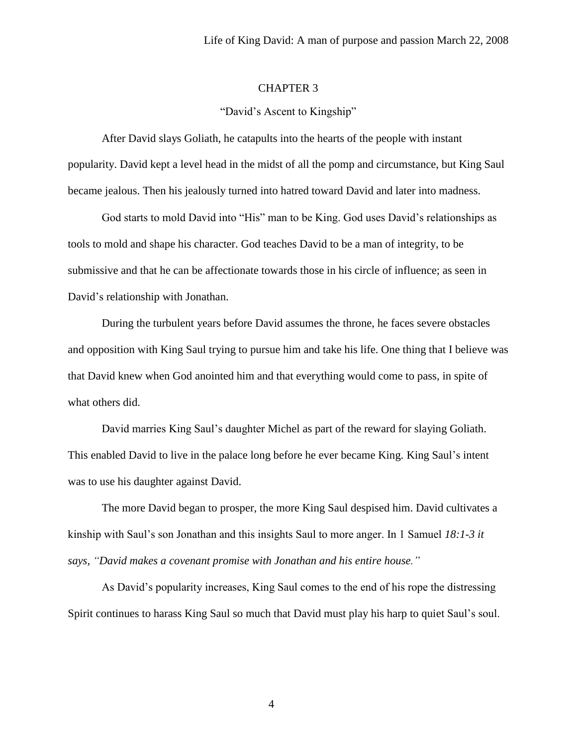#### CHAPTER 3

#### "David's Ascent to Kingship"

After David slays Goliath, he catapults into the hearts of the people with instant popularity. David kept a level head in the midst of all the pomp and circumstance, but King Saul became jealous. Then his jealously turned into hatred toward David and later into madness.

God starts to mold David into "His" man to be King. God uses David's relationships as tools to mold and shape his character. God teaches David to be a man of integrity, to be submissive and that he can be affectionate towards those in his circle of influence; as seen in David's relationship with Jonathan.

During the turbulent years before David assumes the throne, he faces severe obstacles and opposition with King Saul trying to pursue him and take his life. One thing that I believe was that David knew when God anointed him and that everything would come to pass, in spite of what others did.

David marries King Saul's daughter Michel as part of the reward for slaying Goliath. This enabled David to live in the palace long before he ever became King. King Saul's intent was to use his daughter against David.

The more David began to prosper, the more King Saul despised him. David cultivates a kinship with Saul's son Jonathan and this insights Saul to more anger. In 1 Samuel *18:1-3 it says, "David makes a covenant promise with Jonathan and his entire house."*

As David's popularity increases, King Saul comes to the end of his rope the distressing Spirit continues to harass King Saul so much that David must play his harp to quiet Saul's soul.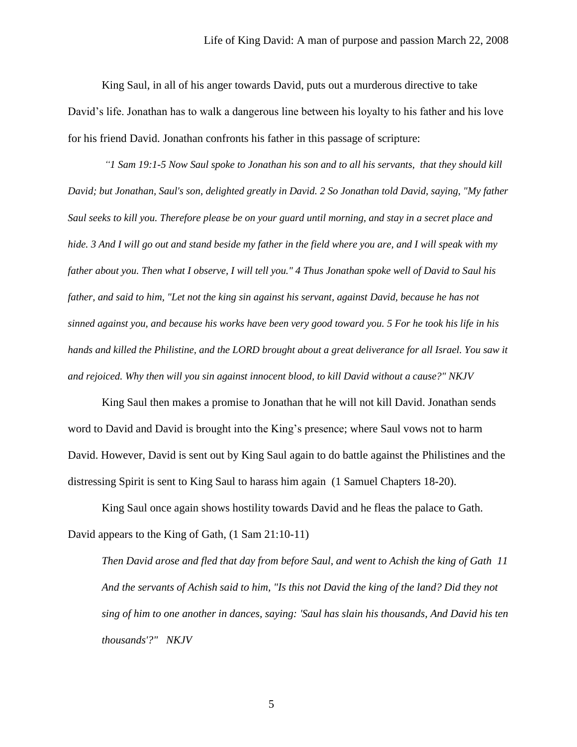King Saul, in all of his anger towards David, puts out a murderous directive to take David's life. Jonathan has to walk a dangerous line between his loyalty to his father and his love for his friend David. Jonathan confronts his father in this passage of scripture:

*"1 Sam 19:1-5 Now Saul spoke to Jonathan his son and to all his servants, that they should kill David; but Jonathan, Saul's son, delighted greatly in David. 2 So Jonathan told David, saying, "My father Saul seeks to kill you. Therefore please be on your guard until morning, and stay in a secret place and hide. 3 And I will go out and stand beside my father in the field where you are, and I will speak with my father about you. Then what I observe, I will tell you." 4 Thus Jonathan spoke well of David to Saul his father, and said to him, "Let not the king sin against his servant, against David, because he has not sinned against you, and because his works have been very good toward you. 5 For he took his life in his hands and killed the Philistine, and the LORD brought about a great deliverance for all Israel. You saw it and rejoiced. Why then will you sin against innocent blood, to kill David without a cause?" NKJV*

King Saul then makes a promise to Jonathan that he will not kill David. Jonathan sends word to David and David is brought into the King's presence; where Saul vows not to harm David. However, David is sent out by King Saul again to do battle against the Philistines and the distressing Spirit is sent to King Saul to harass him again (1 Samuel Chapters 18-20).

King Saul once again shows hostility towards David and he fleas the palace to Gath. David appears to the King of Gath, (1 Sam 21:10-11)

*Then David arose and fled that day from before Saul, and went to Achish the king of Gath 11 And the servants of Achish said to him, "Is this not David the king of the land? Did they not sing of him to one another in dances, saying: 'Saul has slain his thousands, And David his ten thousands'?" NKJV*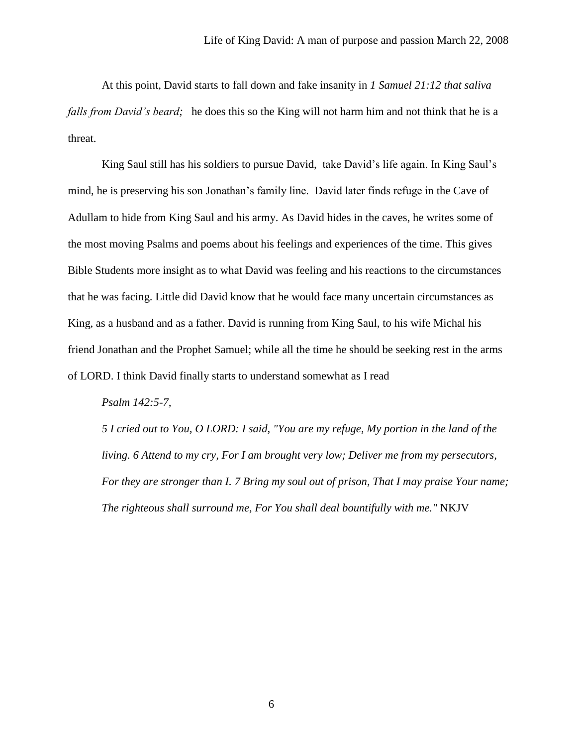At this point, David starts to fall down and fake insanity in *1 Samuel 21:12 that saliva falls from David's beard;* he does this so the King will not harm him and not think that he is a threat.

King Saul still has his soldiers to pursue David, take David's life again. In King Saul's mind, he is preserving his son Jonathan's family line. David later finds refuge in the Cave of Adullam to hide from King Saul and his army. As David hides in the caves, he writes some of the most moving Psalms and poems about his feelings and experiences of the time. This gives Bible Students more insight as to what David was feeling and his reactions to the circumstances that he was facing. Little did David know that he would face many uncertain circumstances as King, as a husband and as a father. David is running from King Saul, to his wife Michal his friend Jonathan and the Prophet Samuel; while all the time he should be seeking rest in the arms of LORD. I think David finally starts to understand somewhat as I read

#### *Psalm 142:5-7,*

*5 I cried out to You, O LORD: I said, "You are my refuge, My portion in the land of the living. 6 Attend to my cry, For I am brought very low; Deliver me from my persecutors, For they are stronger than I. 7 Bring my soul out of prison, That I may praise Your name; The righteous shall surround me, For You shall deal bountifully with me."* NKJV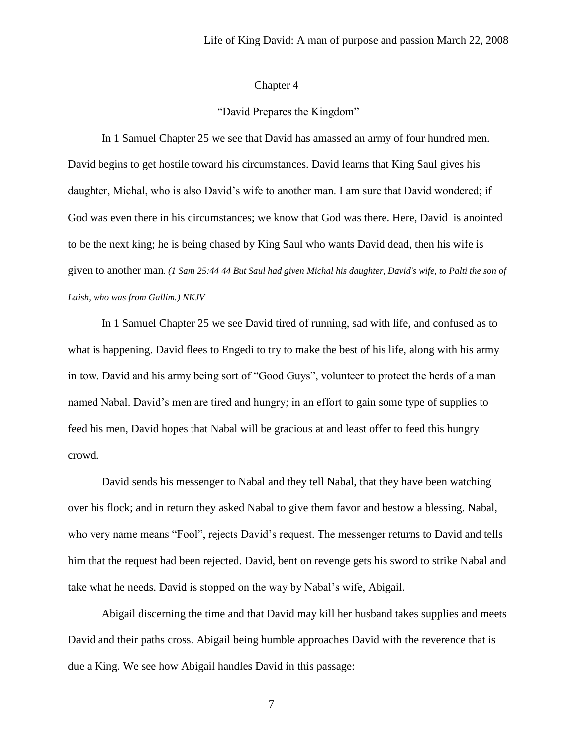#### Chapter 4

#### "David Prepares the Kingdom"

In 1 Samuel Chapter 25 we see that David has amassed an army of four hundred men. David begins to get hostile toward his circumstances. David learns that King Saul gives his daughter, Michal, who is also David's wife to another man. I am sure that David wondered; if God was even there in his circumstances; we know that God was there. Here, David is anointed to be the next king; he is being chased by King Saul who wants David dead, then his wife is given to another man*. (1 Sam 25:44 44 But Saul had given Michal his daughter, David's wife, to Palti the son of Laish, who was from Gallim.) NKJV*

In 1 Samuel Chapter 25 we see David tired of running, sad with life, and confused as to what is happening. David flees to Engedi to try to make the best of his life, along with his army in tow. David and his army being sort of "Good Guys", volunteer to protect the herds of a man named Nabal. David's men are tired and hungry; in an effort to gain some type of supplies to feed his men, David hopes that Nabal will be gracious at and least offer to feed this hungry crowd.

David sends his messenger to Nabal and they tell Nabal, that they have been watching over his flock; and in return they asked Nabal to give them favor and bestow a blessing. Nabal, who very name means "Fool", rejects David's request. The messenger returns to David and tells him that the request had been rejected. David, bent on revenge gets his sword to strike Nabal and take what he needs. David is stopped on the way by Nabal's wife, Abigail.

Abigail discerning the time and that David may kill her husband takes supplies and meets David and their paths cross. Abigail being humble approaches David with the reverence that is due a King. We see how Abigail handles David in this passage: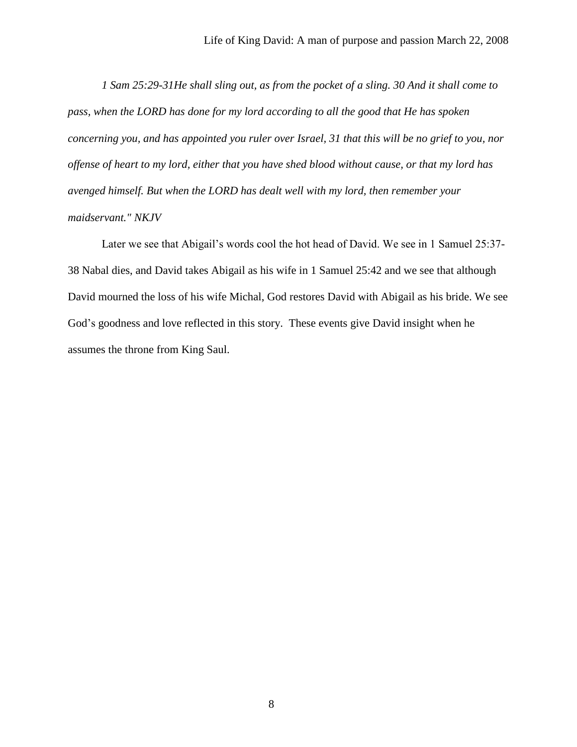*1 Sam 25:29-31He shall sling out, as from the pocket of a sling. 30 And it shall come to pass, when the LORD has done for my lord according to all the good that He has spoken concerning you, and has appointed you ruler over Israel, 31 that this will be no grief to you, nor offense of heart to my lord, either that you have shed blood without cause, or that my lord has avenged himself. But when the LORD has dealt well with my lord, then remember your maidservant." NKJV*

Later we see that Abigail's words cool the hot head of David. We see in 1 Samuel 25:37- 38 Nabal dies, and David takes Abigail as his wife in 1 Samuel 25:42 and we see that although David mourned the loss of his wife Michal, God restores David with Abigail as his bride. We see God's goodness and love reflected in this story. These events give David insight when he assumes the throne from King Saul.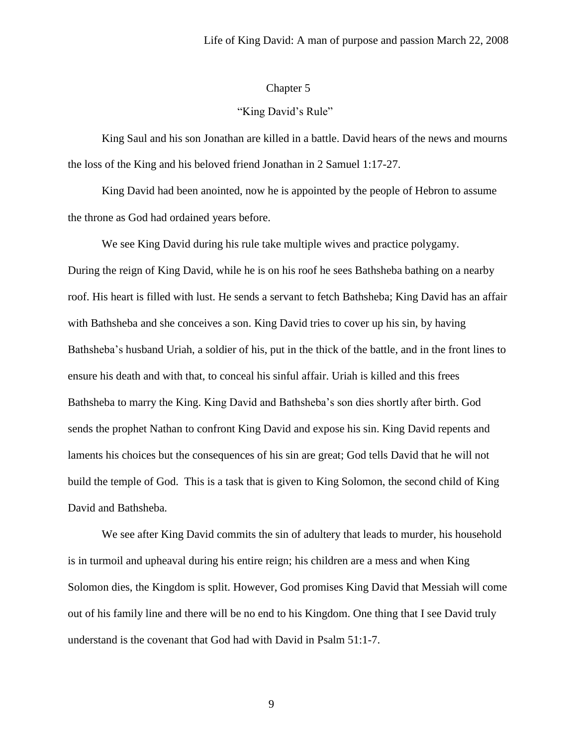## Chapter 5

#### "King David's Rule"

King Saul and his son Jonathan are killed in a battle. David hears of the news and mourns the loss of the King and his beloved friend Jonathan in 2 Samuel 1:17-27.

King David had been anointed, now he is appointed by the people of Hebron to assume the throne as God had ordained years before.

We see King David during his rule take multiple wives and practice polygamy. During the reign of King David, while he is on his roof he sees Bathsheba bathing on a nearby roof. His heart is filled with lust. He sends a servant to fetch Bathsheba; King David has an affair with Bathsheba and she conceives a son. King David tries to cover up his sin, by having Bathsheba's husband Uriah, a soldier of his, put in the thick of the battle, and in the front lines to ensure his death and with that, to conceal his sinful affair. Uriah is killed and this frees Bathsheba to marry the King. King David and Bathsheba's son dies shortly after birth. God sends the prophet Nathan to confront King David and expose his sin. King David repents and laments his choices but the consequences of his sin are great; God tells David that he will not build the temple of God. This is a task that is given to King Solomon, the second child of King David and Bathsheba.

We see after King David commits the sin of adultery that leads to murder, his household is in turmoil and upheaval during his entire reign; his children are a mess and when King Solomon dies, the Kingdom is split. However, God promises King David that Messiah will come out of his family line and there will be no end to his Kingdom. One thing that I see David truly understand is the covenant that God had with David in Psalm 51:1-7.